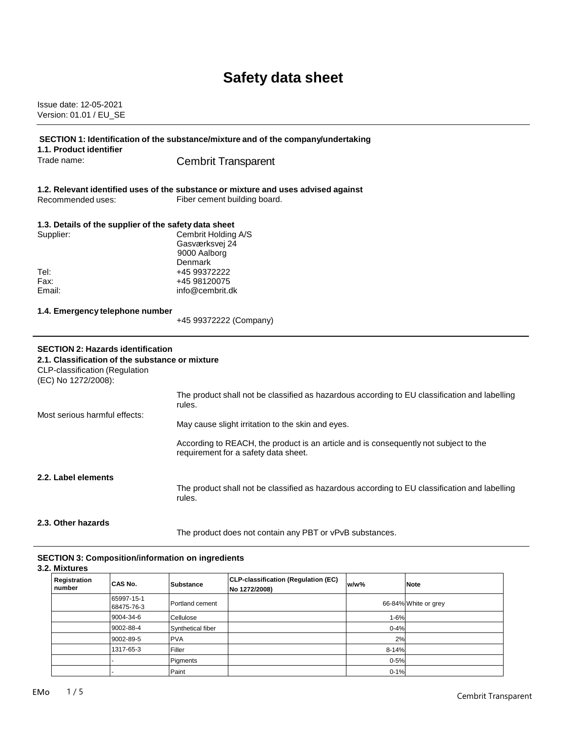# **Safety data sheet**

Issue date: 12-05-2021 Version: 01.01 / EU\_SE

| SECTION 1: Identification of the substance/mixture and of the company/undertaking<br>1.1. Product identifier                                         |                                                                                                                              |  |  |
|------------------------------------------------------------------------------------------------------------------------------------------------------|------------------------------------------------------------------------------------------------------------------------------|--|--|
| Trade name:                                                                                                                                          | <b>Cembrit Transparent</b>                                                                                                   |  |  |
| Recommended uses:                                                                                                                                    | 1.2. Relevant identified uses of the substance or mixture and uses advised against<br>Fiber cement building board.           |  |  |
| Supplier:                                                                                                                                            | 1.3. Details of the supplier of the safety data sheet<br>Cembrit Holding A/S<br>Gasværksvej 24<br>9000 Aalborg<br>Denmark    |  |  |
| Tel:<br>Fax:<br>Email:                                                                                                                               | +45 99372222<br>+45 98120075<br>info@cembrit.dk                                                                              |  |  |
| 1.4. Emergency telephone number                                                                                                                      | +45 99372222 (Company)                                                                                                       |  |  |
| <b>SECTION 2: Hazards identification</b><br>2.1. Classification of the substance or mixture<br>CLP-classification (Regulation<br>(EC) No 1272/2008): |                                                                                                                              |  |  |
| Most serious harmful effects:                                                                                                                        | The product shall not be classified as hazardous according to EU classification and labelling<br>rules.                      |  |  |
|                                                                                                                                                      | May cause slight irritation to the skin and eyes.                                                                            |  |  |
|                                                                                                                                                      | According to REACH, the product is an article and is consequently not subject to the<br>requirement for a safety data sheet. |  |  |
| 2.2. Label elements                                                                                                                                  | The product shall not be classified as hazardous according to EU classification and labelling<br>rules.                      |  |  |
| 2.3. Other hazards                                                                                                                                   |                                                                                                                              |  |  |

### **SECTION 3: Composition/information on ingredients**

**3.2. Mixtures**

| Registration<br>number | CAS No.                  | <b>Substance</b>  | CLP-classification (Regulation (EC)<br>No 1272/2008) | w/w%     | <b>Note</b>          |
|------------------------|--------------------------|-------------------|------------------------------------------------------|----------|----------------------|
|                        | 65997-15-1<br>68475-76-3 | Portland cement   |                                                      |          | 66-84% White or grey |
|                        | 9004-34-6                | Cellulose         |                                                      | 1-6%     |                      |
|                        | 9002-88-4                | Synthetical fiber |                                                      | $0 - 4%$ |                      |
|                        | 9002-89-5                | <b>PVA</b>        |                                                      | 2%       |                      |
|                        | 1317-65-3                | Filler            |                                                      | 8-14%    |                      |
|                        |                          | Pigments          |                                                      | $0 - 5%$ |                      |
|                        |                          | Paint             |                                                      | $0 - 1%$ |                      |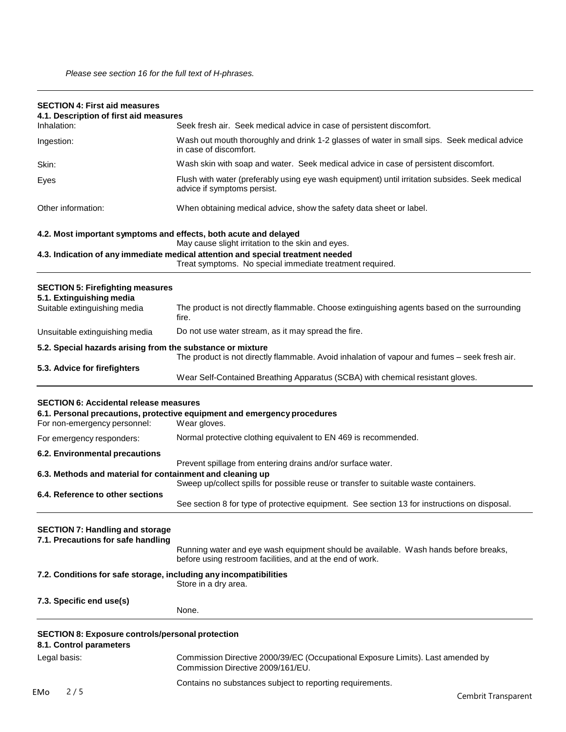| <b>SECTION 4: First aid measures</b><br>4.1. Description of first aid measures     |                                                                                                                                                     |  |  |
|------------------------------------------------------------------------------------|-----------------------------------------------------------------------------------------------------------------------------------------------------|--|--|
| Inhalation:                                                                        | Seek fresh air. Seek medical advice in case of persistent discomfort.                                                                               |  |  |
| Ingestion:                                                                         | Wash out mouth thoroughly and drink 1-2 glasses of water in small sips. Seek medical advice<br>in case of discomfort.                               |  |  |
| Skin:                                                                              | Wash skin with soap and water. Seek medical advice in case of persistent discomfort.                                                                |  |  |
| Eyes                                                                               | Flush with water (preferably using eye wash equipment) until irritation subsides. Seek medical<br>advice if symptoms persist.                       |  |  |
| Other information:                                                                 | When obtaining medical advice, show the safety data sheet or label.                                                                                 |  |  |
|                                                                                    | 4.2. Most important symptoms and effects, both acute and delayed<br>May cause slight irritation to the skin and eyes.                               |  |  |
|                                                                                    | 4.3. Indication of any immediate medical attention and special treatment needed<br>Treat symptoms. No special immediate treatment required.         |  |  |
| <b>SECTION 5: Firefighting measures</b>                                            |                                                                                                                                                     |  |  |
| 5.1. Extinguishing media<br>Suitable extinguishing media                           | The product is not directly flammable. Choose extinguishing agents based on the surrounding<br>fire.                                                |  |  |
| Unsuitable extinguishing media                                                     | Do not use water stream, as it may spread the fire.                                                                                                 |  |  |
| 5.2. Special hazards arising from the substance or mixture                         | The product is not directly flammable. Avoid inhalation of vapour and fumes - seek fresh air.                                                       |  |  |
| 5.3. Advice for firefighters                                                       | Wear Self-Contained Breathing Apparatus (SCBA) with chemical resistant gloves.                                                                      |  |  |
| <b>SECTION 6: Accidental release measures</b><br>For non-emergency personnel:      | 6.1. Personal precautions, protective equipment and emergency procedures<br>Wear gloves.                                                            |  |  |
| For emergency responders:                                                          | Normal protective clothing equivalent to EN 469 is recommended.                                                                                     |  |  |
| 6.2. Environmental precautions                                                     |                                                                                                                                                     |  |  |
| 6.3. Methods and material for containment and cleaning up                          | Prevent spillage from entering drains and/or surface water.<br>Sweep up/collect spills for possible reuse or transfer to suitable waste containers. |  |  |
| 6.4. Reference to other sections                                                   | See section 8 for type of protective equipment. See section 13 for instructions on disposal.                                                        |  |  |
| <b>SECTION 7: Handling and storage</b><br>7.1. Precautions for safe handling       | Running water and eye wash equipment should be available. Wash hands before breaks,<br>before using restroom facilities, and at the end of work.    |  |  |
| 7.2. Conditions for safe storage, including any incompatibilities                  | Store in a dry area.                                                                                                                                |  |  |
| 7.3. Specific end use(s)                                                           | None.                                                                                                                                               |  |  |
| <b>SECTION 8: Exposure controls/personal protection</b><br>8.1. Control parameters |                                                                                                                                                     |  |  |
| Legal basis:                                                                       | Commission Directive 2000/39/EC (Occupational Exposure Limits). Last amended by<br>Commission Directive 2009/161/EU.                                |  |  |
|                                                                                    | Contains no substances subject to reporting requirements.                                                                                           |  |  |
| 2/5<br><b>EMo</b>                                                                  | Cembrit Transparent                                                                                                                                 |  |  |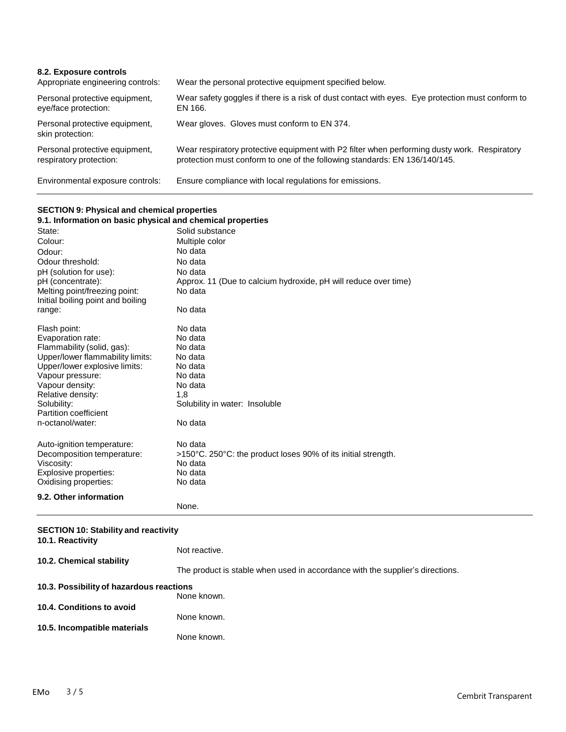| 8.2. Exposure controls<br>Appropriate engineering controls: | Wear the personal protective equipment specified below.                                                                                                                    |
|-------------------------------------------------------------|----------------------------------------------------------------------------------------------------------------------------------------------------------------------------|
| Personal protective equipment,<br>eye/face protection:      | Wear safety goggles if there is a risk of dust contact with eyes. Eye protection must conform to<br>EN 166.                                                                |
| Personal protective equipment,<br>skin protection:          | Wear gloves. Gloves must conform to EN 374.                                                                                                                                |
| Personal protective equipment,<br>respiratory protection:   | Wear respiratory protective equipment with P2 filter when performing dusty work. Respiratory<br>protection must conform to one of the following standards: EN 136/140/145. |
| Environmental exposure controls:                            | Ensure compliance with local regulations for emissions.                                                                                                                    |

## **SECTION 9: Physical and chemical properties**

| <u>ULUITUN 9. III II II ASIGAI ANN CHEINICAI PI OPENIES</u> |                                                                 |
|-------------------------------------------------------------|-----------------------------------------------------------------|
| 9.1. Information on basic physical and chemical properties  |                                                                 |
| State:                                                      | Solid substance                                                 |
| Colour:                                                     | Multiple color                                                  |
| Odour:                                                      | No data                                                         |
| Odour threshold:                                            | No data                                                         |
| pH (solution for use):                                      | No data                                                         |
| pH (concentrate):                                           | Approx. 11 (Due to calcium hydroxide, pH will reduce over time) |
| Melting point/freezing point:                               | No data                                                         |
| Initial boiling point and boiling                           |                                                                 |
| range:                                                      | No data                                                         |
| Flash point:                                                | No data                                                         |
| Evaporation rate:                                           | No data                                                         |
| Flammability (solid, gas):                                  | No data                                                         |
| Upper/lower flammability limits:                            | No data                                                         |
| Upper/lower explosive limits:                               | No data                                                         |
| Vapour pressure:                                            | No data                                                         |
| Vapour density:                                             | No data                                                         |
| Relative density:                                           | 1,8                                                             |
| Solubility:                                                 | Solubility in water: Insoluble                                  |
| Partition coefficient                                       |                                                                 |
| n-octanol/water:                                            | No data                                                         |
| Auto-ignition temperature:                                  | No data                                                         |
| Decomposition temperature:                                  | >150°C. 250°C: the product loses 90% of its initial strength.   |
| Viscosity:                                                  | No data                                                         |
| Explosive properties:                                       | No data                                                         |
| Oxidising properties:                                       | No data                                                         |
| 9.2. Other information                                      |                                                                 |
|                                                             | None.                                                           |

| <b>SECTION 10: Stability and reactivity</b><br>10.1. Reactivity |                                                                               |  |
|-----------------------------------------------------------------|-------------------------------------------------------------------------------|--|
|                                                                 | Not reactive.                                                                 |  |
| 10.2. Chemical stability                                        | The product is stable when used in accordance with the supplier's directions. |  |
|                                                                 | 10.3. Possibility of hazardous reactions<br>None known.                       |  |
| 10.4. Conditions to avoid                                       | None known.                                                                   |  |
| 10.5. Incompatible materials                                    | None known.                                                                   |  |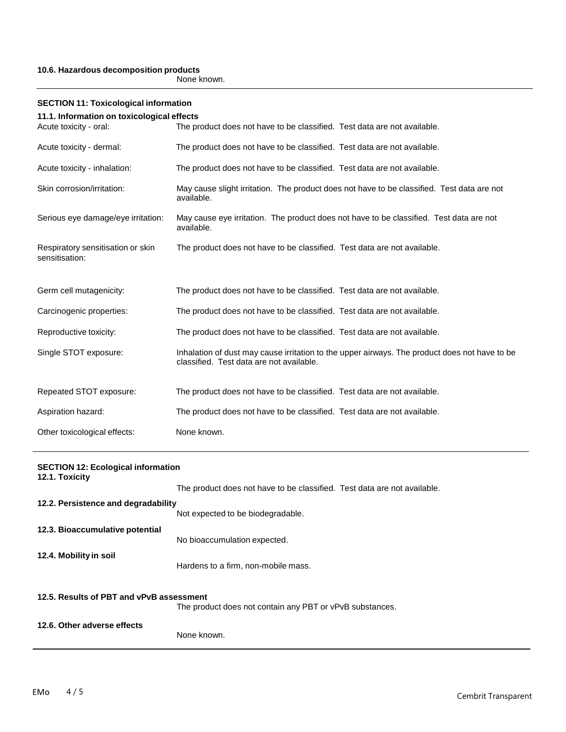#### **10.6. Hazardous decomposition products**

None known.

| <b>SECTION 11: Toxicological information</b>        |                                                                                                                                           |  |
|-----------------------------------------------------|-------------------------------------------------------------------------------------------------------------------------------------------|--|
| 11.1. Information on toxicological effects          |                                                                                                                                           |  |
| Acute toxicity - oral:                              | The product does not have to be classified. Test data are not available.                                                                  |  |
| Acute toxicity - dermal:                            | The product does not have to be classified. Test data are not available.                                                                  |  |
| Acute toxicity - inhalation:                        | The product does not have to be classified. Test data are not available.                                                                  |  |
| Skin corrosion/irritation:                          | May cause slight irritation. The product does not have to be classified. Test data are not<br>available.                                  |  |
| Serious eye damage/eye irritation:                  | May cause eye irritation. The product does not have to be classified. Test data are not<br>available.                                     |  |
| Respiratory sensitisation or skin<br>sensitisation: | The product does not have to be classified. Test data are not available.                                                                  |  |
| Germ cell mutagenicity:                             | The product does not have to be classified. Test data are not available.                                                                  |  |
| Carcinogenic properties:                            | The product does not have to be classified. Test data are not available.                                                                  |  |
| Reproductive toxicity:                              | The product does not have to be classified. Test data are not available.                                                                  |  |
| Single STOT exposure:                               | Inhalation of dust may cause irritation to the upper airways. The product does not have to be<br>classified. Test data are not available. |  |
| Repeated STOT exposure:                             | The product does not have to be classified. Test data are not available.                                                                  |  |
| Aspiration hazard:                                  | The product does not have to be classified. Test data are not available.                                                                  |  |
| Other toxicological effects:                        | None known.                                                                                                                               |  |

| <b>SECTION 12: Ecological information</b><br>12.1. Toxicity |                                                                          |  |
|-------------------------------------------------------------|--------------------------------------------------------------------------|--|
|                                                             | The product does not have to be classified. Test data are not available. |  |
| 12.2. Persistence and degradability                         |                                                                          |  |
|                                                             | Not expected to be biodegradable.                                        |  |
| 12.3. Bioaccumulative potential                             |                                                                          |  |
|                                                             | No bioaccumulation expected.                                             |  |
| 12.4. Mobility in soil                                      | Hardens to a firm, non-mobile mass.                                      |  |
|                                                             |                                                                          |  |
| 12.5. Results of PBT and vPvB assessment                    |                                                                          |  |
|                                                             | The product does not contain any PBT or vPvB substances.                 |  |
| 12.6. Other adverse effects                                 |                                                                          |  |
|                                                             | None known.                                                              |  |